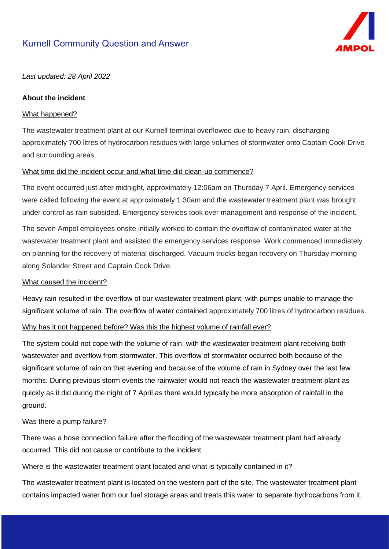# Kurnell Community Question and Answer



*Last updated: 28 April 2022*

## **About the incident**

### What happened?

The wastewater treatment plant at our Kurnell terminal overflowed due to heavy rain, discharging approximately 700 litres of hydrocarbon residues with large volumes of stormwater onto Captain Cook Drive and surrounding areas.

## What time did the incident occur and what time did clean-up commence?

The event occurred just after midnight, approximately 12:06am on Thursday 7 April. Emergency services were called following the event at approximately 1.30am and the wastewater treatment plant was brought under control as rain subsided. Emergency services took over management and response of the incident.

The seven Ampol employees onsite initially worked to contain the overflow of contaminated water at the wastewater treatment plant and assisted the emergency services response. Work commenced immediately on planning for the recovery of material discharged. Vacuum trucks began recovery on Thursday morning along Solander Street and Captain Cook Drive.

### What caused the incident?

Heavy rain resulted in the overflow of our wastewater treatment plant, with pumps unable to manage the significant volume of rain. The overflow of water contained approximately 700 litres of hydrocarbon residues.

## Why has it not happened before? Was this the highest volume of rainfall ever?

The system could not cope with the volume of rain, with the wastewater treatment plant receiving both wastewater and overflow from stormwater. This overflow of stormwater occurred both because of the significant volume of rain on that evening and because of the volume of rain in Sydney over the last few months. During previous storm events the rainwater would not reach the wastewater treatment plant as quickly as it did during the night of 7 April as there would typically be more absorption of rainfall in the ground.

# Was there a pump failure?

There was a hose connection failure after the flooding of the wastewater treatment plant had already occurred. This did not cause or contribute to the incident.

# Where is the wastewater treatment plant located and what is typically contained in it?

The wastewater treatment plant is located on the western part of the site. The wastewater treatment plant contains impacted water from our fuel storage areas and treats this water to separate hydrocarbons from it.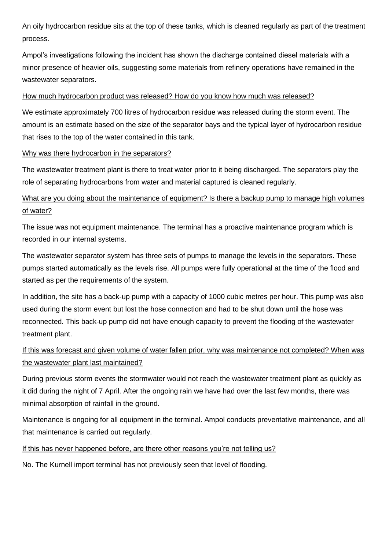An oily hydrocarbon residue sits at the top of these tanks, which is cleaned regularly as part of the treatment process.

Ampol's investigations following the incident has shown the discharge contained diesel materials with a minor presence of heavier oils, suggesting some materials from refinery operations have remained in the wastewater separators.

## How much hydrocarbon product was released? How do you know how much was released?

We estimate approximately 700 litres of hydrocarbon residue was released during the storm event. The amount is an estimate based on the size of the separator bays and the typical layer of hydrocarbon residue that rises to the top of the water contained in this tank.

### Why was there hydrocarbon in the separators?

The wastewater treatment plant is there to treat water prior to it being discharged. The separators play the role of separating hydrocarbons from water and material captured is cleaned regularly.

# What are you doing about the maintenance of equipment? Is there a backup pump to manage high volumes of water?

The issue was not equipment maintenance. The terminal has a proactive maintenance program which is recorded in our internal systems.

The wastewater separator system has three sets of pumps to manage the levels in the separators. These pumps started automatically as the levels rise. All pumps were fully operational at the time of the flood and started as per the requirements of the system.

In addition, the site has a back-up pump with a capacity of 1000 cubic metres per hour. This pump was also used during the storm event but lost the hose connection and had to be shut down until the hose was reconnected. This back-up pump did not have enough capacity to prevent the flooding of the wastewater treatment plant.

# If this was forecast and given volume of water fallen prior, why was maintenance not completed? When was the wastewater plant last maintained?

During previous storm events the stormwater would not reach the wastewater treatment plant as quickly as it did during the night of 7 April. After the ongoing rain we have had over the last few months, there was minimal absorption of rainfall in the ground.

Maintenance is ongoing for all equipment in the terminal. Ampol conducts preventative maintenance, and all that maintenance is carried out regularly.

# If this has never happened before, are there other reasons you're not telling us?

No. The Kurnell import terminal has not previously seen that level of flooding.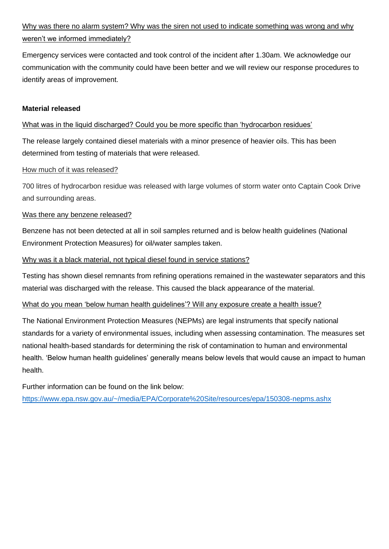# Why was there no alarm system? Why was the siren not used to indicate something was wrong and why weren't we informed immediately?

Emergency services were contacted and took control of the incident after 1.30am. We acknowledge our communication with the community could have been better and we will review our response procedures to identify areas of improvement.

## **Material released**

## What was in the liquid discharged? Could you be more specific than 'hydrocarbon residues'

The release largely contained diesel materials with a minor presence of heavier oils. This has been determined from testing of materials that were released.

## How much of it was released?

700 litres of hydrocarbon residue was released with large volumes of storm water onto Captain Cook Drive and surrounding areas.

## Was there any benzene released?

Benzene has not been detected at all in soil samples returned and is below health guidelines (National Environment Protection Measures) for oil/water samples taken.

## Why was it a black material, not typical diesel found in service stations?

Testing has shown diesel remnants from refining operations remained in the wastewater separators and this material was discharged with the release. This caused the black appearance of the material.

### What do you mean 'below human health guidelines'? Will any exposure create a health issue?

The National Environment Protection Measures (NEPMs) are legal instruments that specify national standards for a variety of environmental issues, including when assessing contamination. The measures set national health-based standards for determining the risk of contamination to human and environmental health. 'Below human health guidelines' generally means below levels that would cause an impact to human health.

Further information can be found on the link below:

<https://www.epa.nsw.gov.au/~/media/EPA/Corporate%20Site/resources/epa/150308-nepms.ashx>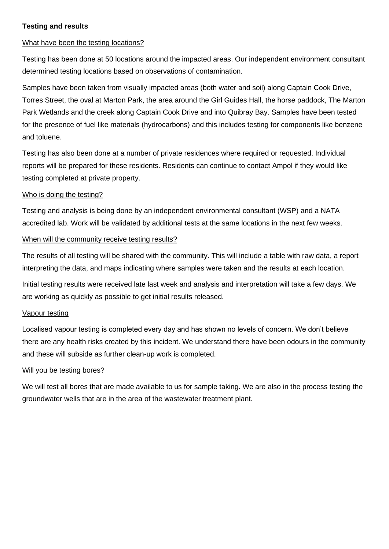## **Testing and results**

### What have been the testing locations?

Testing has been done at 50 locations around the impacted areas. Our independent environment consultant determined testing locations based on observations of contamination.

Samples have been taken from visually impacted areas (both water and soil) along Captain Cook Drive, Torres Street, the oval at Marton Park, the area around the Girl Guides Hall, the horse paddock, The Marton Park Wetlands and the creek along Captain Cook Drive and into Quibray Bay. Samples have been tested for the presence of fuel like materials (hydrocarbons) and this includes testing for components like benzene and toluene.

Testing has also been done at a number of private residences where required or requested. Individual reports will be prepared for these residents. Residents can continue to contact Ampol if they would like testing completed at private property.

#### Who is doing the testing?

Testing and analysis is being done by an independent environmental consultant (WSP) and a NATA accredited lab. Work will be validated by additional tests at the same locations in the next few weeks.

## When will the community receive testing results?

The results of all testing will be shared with the community. This will include a table with raw data, a report interpreting the data, and maps indicating where samples were taken and the results at each location.

Initial testing results were received late last week and analysis and interpretation will take a few days. We are working as quickly as possible to get initial results released.

#### Vapour testing

Localised vapour testing is completed every day and has shown no levels of concern. We don't believe there are any health risks created by this incident. We understand there have been odours in the community and these will subside as further clean-up work is completed.

#### Will you be testing bores?

We will test all bores that are made available to us for sample taking. We are also in the process testing the groundwater wells that are in the area of the wastewater treatment plant.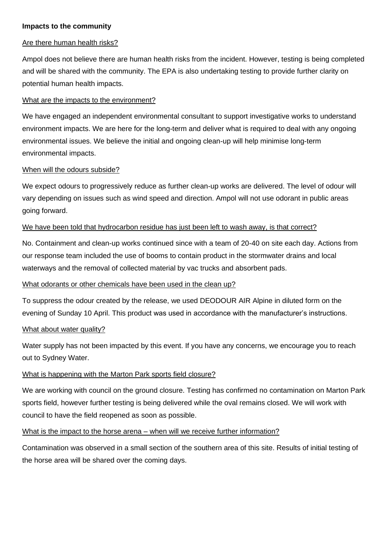### **Impacts to the community**

#### Are there human health risks?

Ampol does not believe there are human health risks from the incident. However, testing is being completed and will be shared with the community. The EPA is also undertaking testing to provide further clarity on potential human health impacts.

#### What are the impacts to the environment?

We have engaged an independent environmental consultant to support investigative works to understand environment impacts. We are here for the long-term and deliver what is required to deal with any ongoing environmental issues. We believe the initial and ongoing clean-up will help minimise long-term environmental impacts.

## When will the odours subside?

We expect odours to progressively reduce as further clean-up works are delivered. The level of odour will vary depending on issues such as wind speed and direction. Ampol will not use odorant in public areas going forward.

#### We have been told that hydrocarbon residue has just been left to wash away, is that correct?

No. Containment and clean-up works continued since with a team of 20-40 on site each day. Actions from our response team included the use of booms to contain product in the stormwater drains and local waterways and the removal of collected material by vac trucks and absorbent pads.

### What odorants or other chemicals have been used in the clean up?

To suppress the odour created by the release, we used DEODOUR AIR Alpine in diluted form on the evening of Sunday 10 April. This product was used in accordance with the manufacturer's instructions.

#### What about water quality?

Water supply has not been impacted by this event. If you have any concerns, we encourage you to reach out to Sydney Water.

## What is happening with the Marton Park sports field closure?

We are working with council on the ground closure. Testing has confirmed no contamination on Marton Park sports field, however further testing is being delivered while the oval remains closed. We will work with council to have the field reopened as soon as possible.

### What is the impact to the horse arena – when will we receive further information?

Contamination was observed in a small section of the southern area of this site. Results of initial testing of the horse area will be shared over the coming days.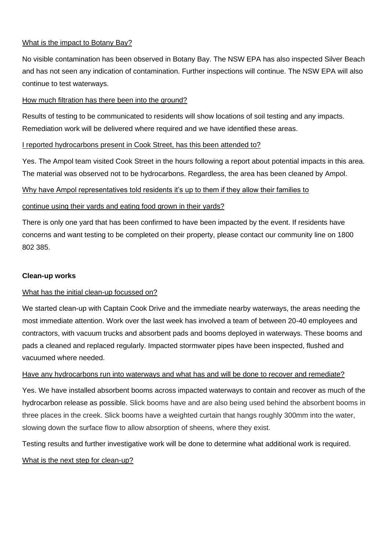# What is the impact to Botany Bay?

No visible contamination has been observed in Botany Bay. The NSW EPA has also inspected Silver Beach and has not seen any indication of contamination. Further inspections will continue. The NSW EPA will also continue to test waterways.

## How much filtration has there been into the ground?

Results of testing to be communicated to residents will show locations of soil testing and any impacts. Remediation work will be delivered where required and we have identified these areas.

## I reported hydrocarbons present in Cook Street, has this been attended to?

Yes. The Ampol team visited Cook Street in the hours following a report about potential impacts in this area. The material was observed not to be hydrocarbons. Regardless, the area has been cleaned by Ampol.

## Why have Ampol representatives told residents it's up to them if they allow their families to

## continue using their yards and eating food grown in their yards?

There is only one yard that has been confirmed to have been impacted by the event. If residents have concerns and want testing to be completed on their property, please contact our community line on 1800 802 385.

### **Clean-up works**

### What has the initial clean-up focussed on?

We started clean-up with Captain Cook Drive and the immediate nearby waterways, the areas needing the most immediate attention. Work over the last week has involved a team of between 20-40 employees and contractors, with vacuum trucks and absorbent pads and booms deployed in waterways. These booms and pads a cleaned and replaced regularly. Impacted stormwater pipes have been inspected, flushed and vacuumed where needed.

# Have any hydrocarbons run into waterways and what has and will be done to recover and remediate?

Yes. We have installed absorbent booms across impacted waterways to contain and recover as much of the hydrocarbon release as possible. Slick booms have and are also being used behind the absorbent booms in three places in the creek. Slick booms have a weighted curtain that hangs roughly 300mm into the water, slowing down the surface flow to allow absorption of sheens, where they exist.

Testing results and further investigative work will be done to determine what additional work is required.

## What is the next step for clean-up?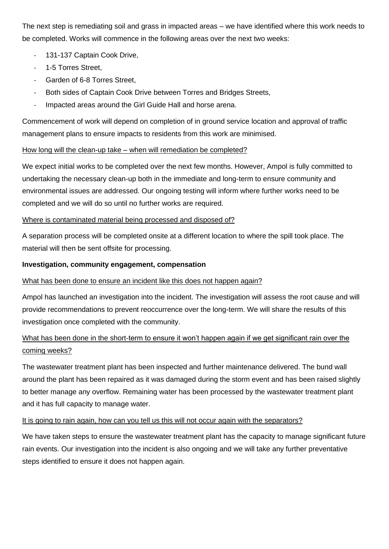The next step is remediating soil and grass in impacted areas – we have identified where this work needs to be completed. Works will commence in the following areas over the next two weeks:

- 131-137 Captain Cook Drive,
- 1-5 Torres Street,
- Garden of 6-8 Torres Street,
- Both sides of Captain Cook Drive between Torres and Bridges Streets,
- Impacted areas around the Girl Guide Hall and horse arena.

Commencement of work will depend on completion of in ground service location and approval of traffic management plans to ensure impacts to residents from this work are minimised.

# How long will the clean-up take – when will remediation be completed?

We expect initial works to be completed over the next few months. However, Ampol is fully committed to undertaking the necessary clean-up both in the immediate and long-term to ensure community and environmental issues are addressed. Our ongoing testing will inform where further works need to be completed and we will do so until no further works are required.

## Where is contaminated material being processed and disposed of?

A separation process will be completed onsite at a different location to where the spill took place. The material will then be sent offsite for processing.

## **Investigation, community engagement, compensation**

### What has been done to ensure an incident like this does not happen again?

Ampol has launched an investigation into the incident. The investigation will assess the root cause and will provide recommendations to prevent reoccurrence over the long-term. We will share the results of this investigation once completed with the community.

# What has been done in the short-term to ensure it won't happen again if we get significant rain over the coming weeks?

The wastewater treatment plant has been inspected and further maintenance delivered. The bund wall around the plant has been repaired as it was damaged during the storm event and has been raised slightly to better manage any overflow. Remaining water has been processed by the wastewater treatment plant and it has full capacity to manage water.

# It is going to rain again, how can you tell us this will not occur again with the separators?

We have taken steps to ensure the wastewater treatment plant has the capacity to manage significant future rain events. Our investigation into the incident is also ongoing and we will take any further preventative steps identified to ensure it does not happen again.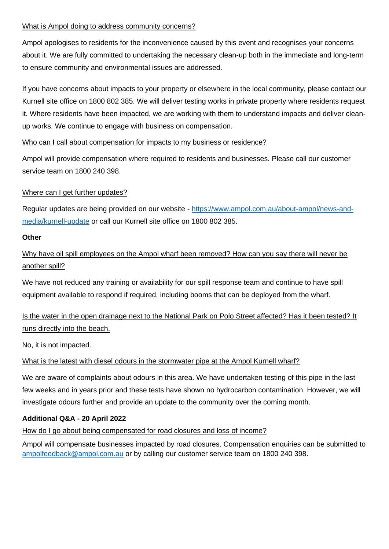## What is Ampol doing to address community concerns?

Ampol apologises to residents for the inconvenience caused by this event and recognises your concerns about it. We are fully committed to undertaking the necessary clean-up both in the immediate and long-term to ensure community and environmental issues are addressed.

If you have concerns about impacts to your property or elsewhere in the local community, please contact our Kurnell site office on 1800 802 385. We will deliver testing works in private property where residents request it. Where residents have been impacted, we are working with them to understand impacts and deliver cleanup works. We continue to engage with business on compensation.

## Who can I call about compensation for impacts to my business or residence?

Ampol will provide compensation where required to residents and businesses. Please call our customer service team on 1800 240 398.

# Where can I get further updates?

Regular updates are being provided on our website - [https://www.ampol.com.au/about-ampol/news-and](https://www.ampol.com.au/about-ampol/news-and-media/kurnell-update)[media/kurnell-update](https://www.ampol.com.au/about-ampol/news-and-media/kurnell-update) or call our Kurnell site office on 1800 802 385.

## **Other**

Why have oil spill employees on the Ampol wharf been removed? How can you say there will never be another spill?

We have not reduced any training or availability for our spill response team and continue to have spill equipment available to respond if required, including booms that can be deployed from the wharf.

Is the water in the open drainage next to the National Park on Polo Street affected? Has it been tested? It runs directly into the beach.

No, it is not impacted.

# What is the latest with diesel odours in the stormwater pipe at the Ampol Kurnell wharf?

We are aware of complaints about odours in this area. We have undertaken testing of this pipe in the last few weeks and in years prior and these tests have shown no hydrocarbon contamination. However, we will investigate odours further and provide an update to the community over the coming month.

# **Additional Q&A - 20 April 2022**

# How do I go about being compensated for road closures and loss of income?

Ampol will compensate businesses impacted by road closures. Compensation enquiries can be submitted to [ampolfeedback@ampol.com.au](mailto:ampolfeedback@ampol.com.au) or by calling our customer service team on 1800 240 398.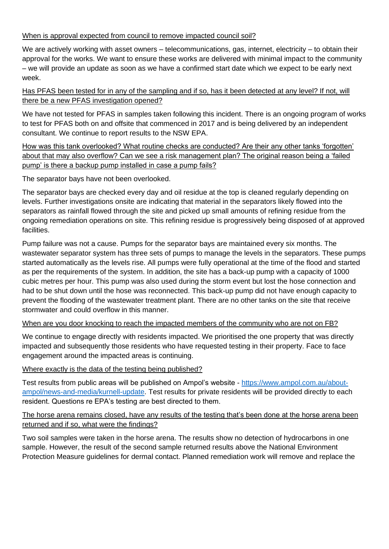# When is approval expected from council to remove impacted council soil?

We are actively working with asset owners – telecommunications, gas, internet, electricity – to obtain their approval for the works. We want to ensure these works are delivered with minimal impact to the community – we will provide an update as soon as we have a confirmed start date which we expect to be early next week.

Has PFAS been tested for in any of the sampling and if so, has it been detected at any level? If not, will there be a new PFAS investigation opened?

We have not tested for PFAS in samples taken following this incident. There is an ongoing program of works to test for PFAS both on and offsite that commenced in 2017 and is being delivered by an independent consultant. We continue to report results to the NSW EPA.

How was this tank overlooked? What routine checks are conducted? Are their any other tanks 'forgotten' about that may also overflow? Can we see a risk management plan? The original reason being a 'failed pump' is there a backup pump installed in case a pump fails?

The separator bays have not been overlooked.

The separator bays are checked every day and oil residue at the top is cleaned regularly depending on levels. Further investigations onsite are indicating that material in the separators likely flowed into the separators as rainfall flowed through the site and picked up small amounts of refining residue from the ongoing remediation operations on site. This refining residue is progressively being disposed of at approved facilities.

Pump failure was not a cause. Pumps for the separator bays are maintained every six months. The wastewater separator system has three sets of pumps to manage the levels in the separators. These pumps started automatically as the levels rise. All pumps were fully operational at the time of the flood and started as per the requirements of the system. In addition, the site has a back-up pump with a capacity of 1000 cubic metres per hour. This pump was also used during the storm event but lost the hose connection and had to be shut down until the hose was reconnected. This back-up pump did not have enough capacity to prevent the flooding of the wastewater treatment plant. There are no other tanks on the site that receive stormwater and could overflow in this manner.

When are you door knocking to reach the impacted members of the community who are not on FB?

We continue to engage directly with residents impacted. We prioritised the one property that was directly impacted and subsequently those residents who have requested testing in their property. Face to face engagement around the impacted areas is continuing.

# Where exactly is the data of the testing being published?

Test results from public areas will be published on Ampol's website - [https://www.ampol.com.au/about](https://www.ampol.com.au/about-ampol/news-and-media/kurnell-update)[ampol/news-and-media/kurnell-update.](https://www.ampol.com.au/about-ampol/news-and-media/kurnell-update) Test results for private residents will be provided directly to each resident. Questions re EPA's testing are best directed to them.

# The horse arena remains closed, have any results of the testing that's been done at the horse arena been returned and if so, what were the findings?

Two soil samples were taken in the horse arena. The results show no detection of hydrocarbons in one sample. However, the result of the second sample returned results above the National Environment Protection Measure guidelines for dermal contact. Planned remediation work will remove and replace the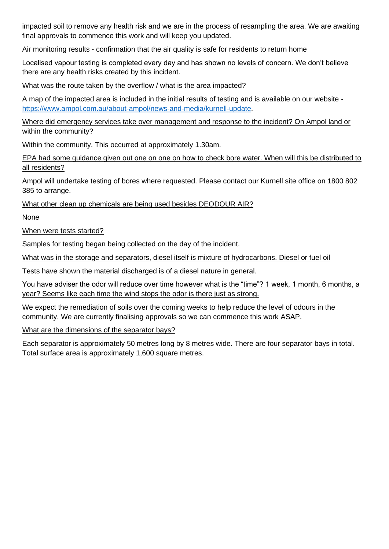impacted soil to remove any health risk and we are in the process of resampling the area. We are awaiting final approvals to commence this work and will keep you updated.

Air monitoring results - confirmation that the air quality is safe for residents to return home

Localised vapour testing is completed every day and has shown no levels of concern. We don't believe there are any health risks created by this incident.

What was the route taken by the overflow / what is the area impacted?

A map of the impacted area is included in the initial results of testing and is available on our website [https://www.ampol.com.au/about-ampol/news-and-media/kurnell-update.](https://www.ampol.com.au/about-ampol/news-and-media/kurnell-update)

Where did emergency services take over management and response to the incident? On Ampol land or within the community?

Within the community. This occurred at approximately 1.30am.

EPA had some guidance given out one on one on how to check bore water. When will this be distributed to all residents?

Ampol will undertake testing of bores where requested. Please contact our Kurnell site office on 1800 802 385 to arrange.

What other clean up chemicals are being used besides DEODOUR AIR?

None

When were tests started?

Samples for testing began being collected on the day of the incident.

What was in the storage and separators, diesel itself is mixture of hydrocarbons. Diesel or fuel oil

Tests have shown the material discharged is of a diesel nature in general.

You have adviser the odor will reduce over time however what is the "time"? 1 week, 1 month, 6 months, a year? Seems like each time the wind stops the odor is there just as strong.

We expect the remediation of soils over the coming weeks to help reduce the level of odours in the community. We are currently finalising approvals so we can commence this work ASAP.

What are the dimensions of the separator bays?

Each separator is approximately 50 metres long by 8 metres wide. There are four separator bays in total. Total surface area is approximately 1,600 square metres.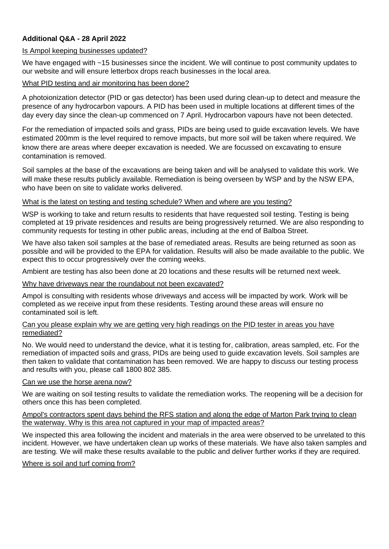# **Additional Q&A - 28 April 2022**

### Is Ampol keeping businesses updated?

We have engaged with ~15 businesses since the incident. We will continue to post community updates to our website and will ensure letterbox drops reach businesses in the local area.

# What PID testing and air monitoring has been done?

A photoionization detector (PID or gas detector) has been used during clean-up to detect and measure the presence of any hydrocarbon vapours. A PID has been used in multiple locations at different times of the day every day since the clean-up commenced on 7 April. Hydrocarbon vapours have not been detected.

For the remediation of impacted soils and grass, PIDs are being used to guide excavation levels. We have estimated 200mm is the level required to remove impacts, but more soil will be taken where required. We know there are areas where deeper excavation is needed. We are focussed on excavating to ensure contamination is removed.

Soil samples at the base of the excavations are being taken and will be analysed to validate this work. We will make these results publicly available. Remediation is being overseen by WSP and by the NSW EPA, who have been on site to validate works delivered.

## What is the latest on testing and testing schedule? When and where are you testing?

WSP is working to take and return results to residents that have requested soil testing. Testing is being completed at 19 private residences and results are being progressively returned. We are also responding to community requests for testing in other public areas, including at the end of Balboa Street.

We have also taken soil samples at the base of remediated areas. Results are being returned as soon as possible and will be provided to the EPA for validation. Results will also be made available to the public. We expect this to occur progressively over the coming weeks.

Ambient are testing has also been done at 20 locations and these results will be returned next week.

## Why have driveways near the roundabout not been excavated?

Ampol is consulting with residents whose driveways and access will be impacted by work. Work will be completed as we receive input from these residents. Testing around these areas will ensure no contaminated soil is left.

### Can you please explain why we are getting very high readings on the PID tester in areas you have remediated?

No. We would need to understand the device, what it is testing for, calibration, areas sampled, etc. For the remediation of impacted soils and grass, PIDs are being used to guide excavation levels. Soil samples are then taken to validate that contamination has been removed. We are happy to discuss our testing process and results with you, please call 1800 802 385.

### Can we use the horse arena now?

We are waiting on soil testing results to validate the remediation works. The reopening will be a decision for others once this has been completed.

### Ampol's contractors spent days behind the RFS station and along the edge of Marton Park trying to clean the waterway. Why is this area not captured in your map of impacted areas?

We inspected this area following the incident and materials in the area were observed to be unrelated to this incident. However, we have undertaken clean up works of these materials. We have also taken samples and are testing. We will make these results available to the public and deliver further works if they are required.

### Where is soil and turf coming from?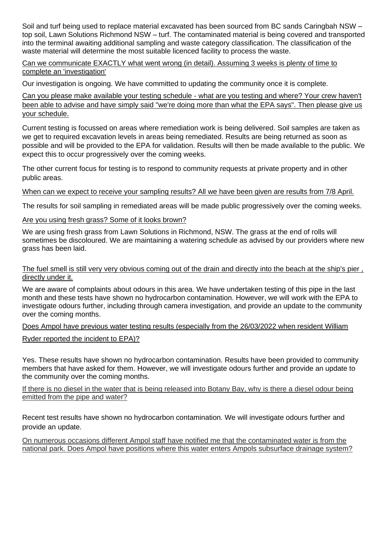Soil and turf being used to replace material excavated has been sourced from BC sands Caringbah NSW – top soil, Lawn Solutions Richmond NSW – turf. The contaminated material is being covered and transported into the terminal awaiting additional sampling and waste category classification. The classification of the waste material will determine the most suitable licenced facility to process the waste.

## Can we communicate EXACTLY what went wrong (in detail). Assuming 3 weeks is plenty of time to complete an 'investigation'

Our investigation is ongoing. We have committed to updating the community once it is complete.

Can you please make available your testing schedule - what are you testing and where? Your crew haven't been able to advise and have simply said "we're doing more than what the EPA says". Then please give us your schedule.

Current testing is focussed on areas where remediation work is being delivered. Soil samples are taken as we get to required excavation levels in areas being remediated. Results are being returned as soon as possible and will be provided to the EPA for validation. Results will then be made available to the public. We expect this to occur progressively over the coming weeks.

The other current focus for testing is to respond to community requests at private property and in other public areas.

## When can we expect to receive your sampling results? All we have been given are results from 7/8 April.

The results for soil sampling in remediated areas will be made public progressively over the coming weeks.

## Are you using fresh grass? Some of it looks brown?

We are using fresh grass from Lawn Solutions in Richmond, NSW. The grass at the end of rolls will sometimes be discoloured. We are maintaining a watering schedule as advised by our providers where new grass has been laid.

#### The fuel smell is still very very obvious coming out of the drain and directly into the beach at the ship's pier , directly under it.

We are aware of complaints about odours in this area. We have undertaken testing of this pipe in the last month and these tests have shown no hydrocarbon contamination. However, we will work with the EPA to investigate odours further, including through camera investigation, and provide an update to the community over the coming months.

### Does Ampol have previous water testing results (especially from the 26/03/2022 when resident William

### Ryder reported the incident to EPA)?

Yes. These results have shown no hydrocarbon contamination. Results have been provided to community members that have asked for them. However, we will investigate odours further and provide an update to the community over the coming months.

If there is no diesel in the water that is being released into Botany Bay, why is there a diesel odour being emitted from the pipe and water?

Recent test results have shown no hydrocarbon contamination. We will investigate odours further and provide an update.

On numerous occasions different Ampol staff have notified me that the contaminated water is from the national park. Does Ampol have positions where this water enters Ampols subsurface drainage system?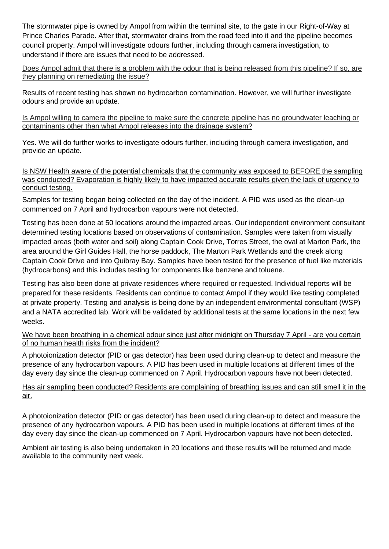The stormwater pipe is owned by Ampol from within the terminal site, to the gate in our Right-of-Way at Prince Charles Parade. After that, stormwater drains from the road feed into it and the pipeline becomes council property. Ampol will investigate odours further, including through camera investigation, to understand if there are issues that need to be addressed.

Does Ampol admit that there is a problem with the odour that is being released from this pipeline? If so, are they planning on remediating the issue?

Results of recent testing has shown no hydrocarbon contamination. However, we will further investigate odours and provide an update.

Is Ampol willing to camera the pipeline to make sure the concrete pipeline has no groundwater leaching or contaminants other than what Ampol releases into the drainage system?

Yes. We will do further works to investigate odours further, including through camera investigation, and provide an update.

Is NSW Health aware of the potential chemicals that the community was exposed to BEFORE the sampling was conducted? Evaporation is highly likely to have impacted accurate results given the lack of urgency to conduct testing.

Samples for testing began being collected on the day of the incident. A PID was used as the clean-up commenced on 7 April and hydrocarbon vapours were not detected.

Testing has been done at 50 locations around the impacted areas. Our independent environment consultant determined testing locations based on observations of contamination. Samples were taken from visually impacted areas (both water and soil) along Captain Cook Drive, Torres Street, the oval at Marton Park, the area around the Girl Guides Hall, the horse paddock, The Marton Park Wetlands and the creek along Captain Cook Drive and into Quibray Bay. Samples have been tested for the presence of fuel like materials (hydrocarbons) and this includes testing for components like benzene and toluene.

Testing has also been done at private residences where required or requested. Individual reports will be prepared for these residents. Residents can continue to contact Ampol if they would like testing completed at private property. Testing and analysis is being done by an independent environmental consultant (WSP) and a NATA accredited lab. Work will be validated by additional tests at the same locations in the next few weeks.

We have been breathing in a chemical odour since just after midnight on Thursday 7 April - are you certain of no human health risks from the incident?

A photoionization detector (PID or gas detector) has been used during clean-up to detect and measure the presence of any hydrocarbon vapours. A PID has been used in multiple locations at different times of the day every day since the clean-up commenced on 7 April. Hydrocarbon vapours have not been detected.

Has air sampling been conducted? Residents are complaining of breathing issues and can still smell it in the air.

A photoionization detector (PID or gas detector) has been used during clean-up to detect and measure the presence of any hydrocarbon vapours. A PID has been used in multiple locations at different times of the day every day since the clean-up commenced on 7 April. Hydrocarbon vapours have not been detected.

Ambient air testing is also being undertaken in 20 locations and these results will be returned and made available to the community next week.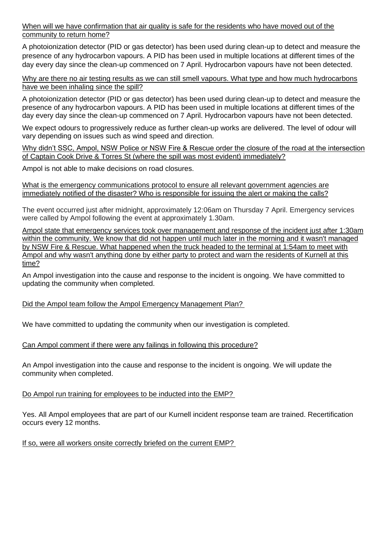When will we have confirmation that air quality is safe for the residents who have moved out of the community to return home?

A photoionization detector (PID or gas detector) has been used during clean-up to detect and measure the presence of any hydrocarbon vapours. A PID has been used in multiple locations at different times of the day every day since the clean-up commenced on 7 April. Hydrocarbon vapours have not been detected.

Why are there no air testing results as we can still smell vapours. What type and how much hydrocarbons have we been inhaling since the spill?

A photoionization detector (PID or gas detector) has been used during clean-up to detect and measure the presence of any hydrocarbon vapours. A PID has been used in multiple locations at different times of the day every day since the clean-up commenced on 7 April. Hydrocarbon vapours have not been detected.

We expect odours to progressively reduce as further clean-up works are delivered. The level of odour will vary depending on issues such as wind speed and direction.

Why didn't SSC, Ampol, NSW Police or NSW Fire & Rescue order the closure of the road at the intersection of Captain Cook Drive & Torres St (where the spill was most evident) immediately?

Ampol is not able to make decisions on road closures.

What is the emergency communications protocol to ensure all relevant government agencies are immediately notified of the disaster? Who is responsible for issuing the alert or making the calls?

The event occurred just after midnight, approximately 12:06am on Thursday 7 April. Emergency services were called by Ampol following the event at approximately 1.30am.

Ampol state that emergency services took over management and response of the incident just after 1:30am within the community. We know that did not happen until much later in the morning and it wasn't managed by NSW Fire & Rescue. What happened when the truck headed to the terminal at 1:54am to meet with Ampol and why wasn't anything done by either party to protect and warn the residents of Kurnell at this time?

An Ampol investigation into the cause and response to the incident is ongoing. We have committed to updating the community when completed.

### Did the Ampol team follow the Ampol Emergency Management Plan?

We have committed to updating the community when our investigation is completed.

### Can Ampol comment if there were any failings in following this procedure?

An Ampol investigation into the cause and response to the incident is ongoing. We will update the community when completed.

Do Ampol run training for employees to be inducted into the EMP?

Yes. All Ampol employees that are part of our Kurnell incident response team are trained. Recertification occurs every 12 months.

If so, were all workers onsite correctly briefed on the current EMP?